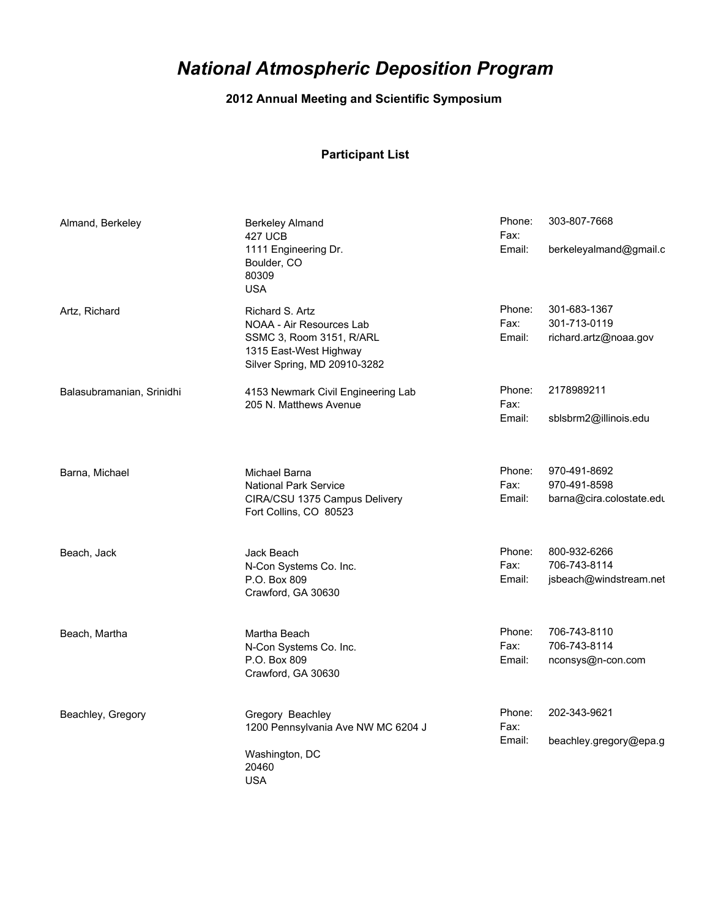## *National Atmospheric Deposition Program*

## **2012 Annual Meeting and Scientific Symposium**

## **Participant List**

| Almand, Berkeley          | Berkeley Almand<br><b>427 UCB</b><br>1111 Engineering Dr.<br>Boulder, CO<br>80309<br><b>USA</b>                                   | Phone:<br>Fax:<br>Email: | 303-807-7668<br>berkeleyalmand@gmail.c                   |
|---------------------------|-----------------------------------------------------------------------------------------------------------------------------------|--------------------------|----------------------------------------------------------|
| Artz, Richard             | Richard S. Artz<br>NOAA - Air Resources Lab<br>SSMC 3, Room 3151, R/ARL<br>1315 East-West Highway<br>Silver Spring, MD 20910-3282 | Phone:<br>Fax:<br>Email: | 301-683-1367<br>301-713-0119<br>richard.artz@noaa.gov    |
| Balasubramanian, Srinidhi | 4153 Newmark Civil Engineering Lab<br>205 N. Matthews Avenue                                                                      | Phone:<br>Fax:<br>Email: | 2178989211<br>sblsbrm2@illinois.edu                      |
| Barna, Michael            | Michael Barna<br><b>National Park Service</b><br>CIRA/CSU 1375 Campus Delivery<br>Fort Collins, CO 80523                          | Phone:<br>Fax:<br>Email: | 970-491-8692<br>970-491-8598<br>barna@cira.colostate.edu |
| Beach, Jack               | Jack Beach<br>N-Con Systems Co. Inc.<br>P.O. Box 809<br>Crawford, GA 30630                                                        | Phone:<br>Fax:<br>Email: | 800-932-6266<br>706-743-8114<br>jsbeach@windstream.net   |
| Beach, Martha             | Martha Beach<br>N-Con Systems Co. Inc.<br>P.O. Box 809<br>Crawford, GA 30630                                                      | Phone:<br>Fax:<br>Email: | 706-743-8110<br>706-743-8114<br>nconsys@n-con.com        |
| Beachley, Gregory         | Gregory Beachley<br>1200 Pennsylvania Ave NW MC 6204 J<br>Washington, DC<br>20460<br><b>USA</b>                                   | Phone:<br>Fax:<br>Email: | 202-343-9621<br>beachley.gregory@epa.g                   |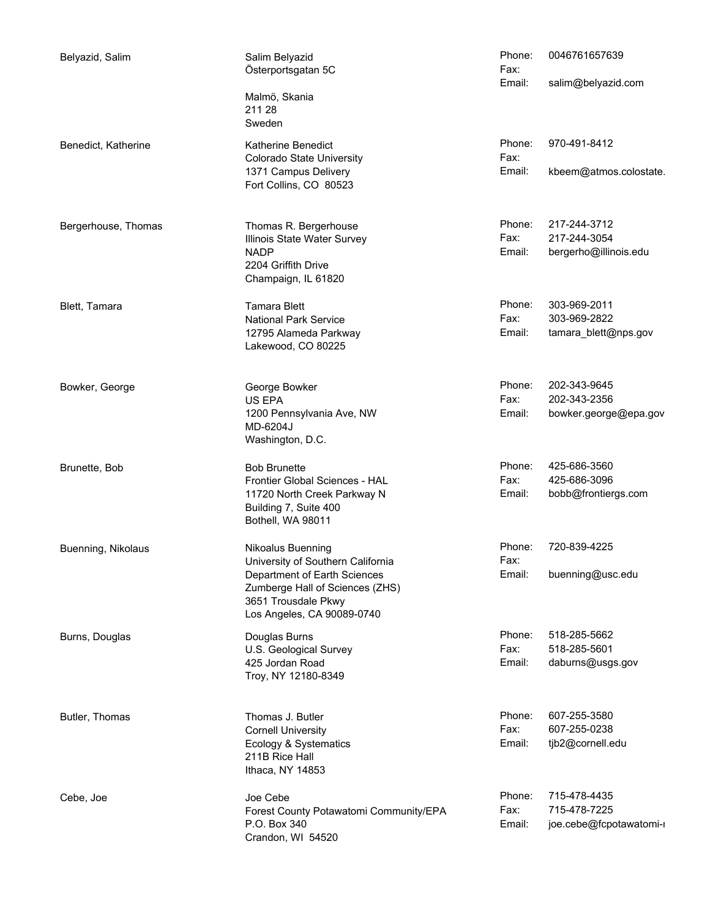| Belyazid, Salim     | Salim Belyazid<br>Österportsgatan 5C                                                   | Phone:<br>Fax:           | 0046761657639                          |
|---------------------|----------------------------------------------------------------------------------------|--------------------------|----------------------------------------|
|                     | Malmö, Skania<br>211 28<br>Sweden                                                      | Email:                   | salim@belyazid.com                     |
| Benedict, Katherine | Katherine Benedict<br>Colorado State University<br>1371 Campus Delivery                | Phone:<br>Fax:<br>Email: | 970-491-8412<br>kbeem@atmos.colostate. |
|                     | Fort Collins, CO 80523                                                                 |                          |                                        |
| Bergerhouse, Thomas | Thomas R. Bergerhouse<br>Illinois State Water Survey                                   | Phone:<br>Fax:           | 217-244-3712<br>217-244-3054           |
|                     | <b>NADP</b><br>2204 Griffith Drive<br>Champaign, IL 61820                              | Email:                   | bergerho@illinois.edu                  |
| Blett, Tamara       | <b>Tamara Blett</b>                                                                    | Phone:                   | 303-969-2011                           |
|                     | <b>National Park Service</b>                                                           | Fax:                     | 303-969-2822                           |
|                     | 12795 Alameda Parkway<br>Lakewood, CO 80225                                            | Email:                   | tamara_blett@nps.gov                   |
| Bowker, George      | George Bowker                                                                          | Phone:                   | 202-343-9645                           |
|                     | US EPA                                                                                 | Fax:                     | 202-343-2356                           |
|                     | 1200 Pennsylvania Ave, NW<br>MD-6204J<br>Washington, D.C.                              | Email:                   | bowker.george@epa.gov                  |
| Brunette, Bob       | <b>Bob Brunette</b>                                                                    | Phone:                   | 425-686-3560                           |
|                     | Frontier Global Sciences - HAL                                                         | Fax:                     | 425-686-3096                           |
|                     | 11720 North Creek Parkway N<br>Building 7, Suite 400<br>Bothell, WA 98011              | Email:                   | bobb@frontiergs.com                    |
| Buenning, Nikolaus  | Nikoalus Buenning<br>University of Southern California                                 | Phone:<br>Fax:           | 720-839-4225                           |
|                     | Department of Earth Sciences<br>Zumberge Hall of Sciences (ZHS)<br>3651 Trousdale Pkwy | Email:                   | buenning@usc.edu                       |
|                     | Los Angeles, CA 90089-0740                                                             |                          |                                        |
| Burns, Douglas      | Douglas Burns                                                                          | Phone:                   | 518-285-5662                           |
|                     | U.S. Geological Survey                                                                 | Fax:                     | 518-285-5601                           |
|                     | 425 Jordan Road<br>Troy, NY 12180-8349                                                 | Email:                   | daburns@usgs.gov                       |
| Butler, Thomas      | Thomas J. Butler                                                                       | Phone:                   | 607-255-3580                           |
|                     | <b>Cornell University</b>                                                              | Fax:                     | 607-255-0238                           |
|                     | Ecology & Systematics<br>211B Rice Hall<br>Ithaca, NY 14853                            | Email:                   | tjb2@cornell.edu                       |
| Cebe, Joe           | Joe Cebe                                                                               | Phone:                   | 715-478-4435                           |
|                     | Forest County Potawatomi Community/EPA                                                 | Fax:                     | 715-478-7225                           |
|                     | P.O. Box 340<br>Crandon, WI 54520                                                      | Email:                   | joe.cebe@fcpotawatomi-i                |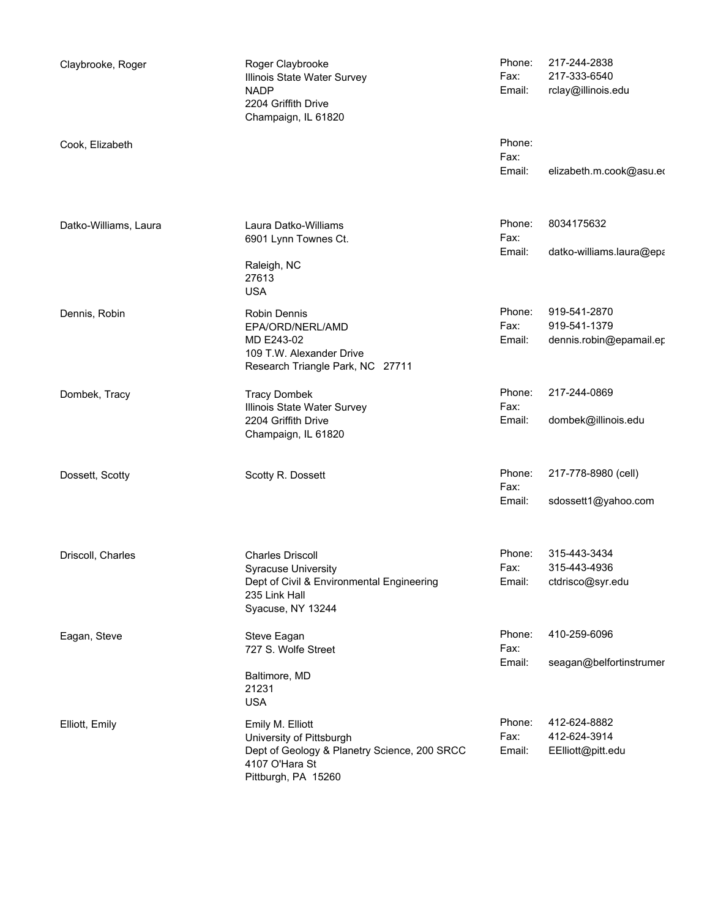| Claybrooke, Roger     | Roger Claybrooke<br>Illinois State Water Survey<br><b>NADP</b><br>2204 Griffith Drive<br>Champaign, IL 61820 | Phone:<br>Fax:<br>Email: | 217-244-2838<br>217-333-6540<br>rclay@illinois.edu |
|-----------------------|--------------------------------------------------------------------------------------------------------------|--------------------------|----------------------------------------------------|
| Cook, Elizabeth       |                                                                                                              | Phone:<br>Fax:<br>Email: | elizabeth.m.cook@asu.eo                            |
|                       |                                                                                                              |                          |                                                    |
| Datko-Williams, Laura | Laura Datko-Williams<br>6901 Lynn Townes Ct.                                                                 | Phone:<br>Fax:           | 8034175632                                         |
|                       | Raleigh, NC<br>27613<br><b>USA</b>                                                                           | Email:                   | datko-williams.laura@epa                           |
| Dennis, Robin         | Robin Dennis                                                                                                 | Phone:                   | 919-541-2870                                       |
|                       | EPA/ORD/NERL/AMD                                                                                             | Fax:                     | 919-541-1379                                       |
|                       | MD E243-02<br>109 T.W. Alexander Drive<br>Research Triangle Park, NC 27711                                   | Email:                   | dennis.robin@epamail.er                            |
| Dombek, Tracy         | <b>Tracy Dombek</b><br>Illinois State Water Survey                                                           | Phone:<br>Fax:           | 217-244-0869                                       |
|                       | 2204 Griffith Drive<br>Champaign, IL 61820                                                                   | Email:                   | dombek@illinois.edu                                |
| Dossett, Scotty       | Scotty R. Dossett                                                                                            | Phone:<br>Fax:           | 217-778-8980 (cell)                                |
|                       |                                                                                                              | Email:                   | sdossett1@yahoo.com                                |
| Driscoll, Charles     | <b>Charles Driscoll</b>                                                                                      | Phone:                   | 315-443-3434                                       |
|                       | <b>Syracuse University</b>                                                                                   | Fax:                     | 315-443-4936                                       |
|                       | Dept of Civil & Environmental Engineering<br>235 Link Hall<br>Syacuse, NY 13244                              | Email:                   | ctdrisco@syr.edu                                   |
| Eagan, Steve          | Steve Eagan<br>727 S. Wolfe Street                                                                           | Phone:<br>Fax:           | 410-259-6096                                       |
|                       | Baltimore, MD<br>21231                                                                                       | Email:                   | seagan@belfortinstrumer                            |
|                       | <b>USA</b>                                                                                                   |                          |                                                    |
| Elliott, Emily        | Emily M. Elliott                                                                                             | Phone:                   | 412-624-8882                                       |
|                       | University of Pittsburgh                                                                                     | Fax:                     | 412-624-3914                                       |
|                       | Dept of Geology & Planetry Science, 200 SRCC<br>4107 O'Hara St<br>Pittburgh, PA 15260                        | Email:                   | EElliott@pitt.edu                                  |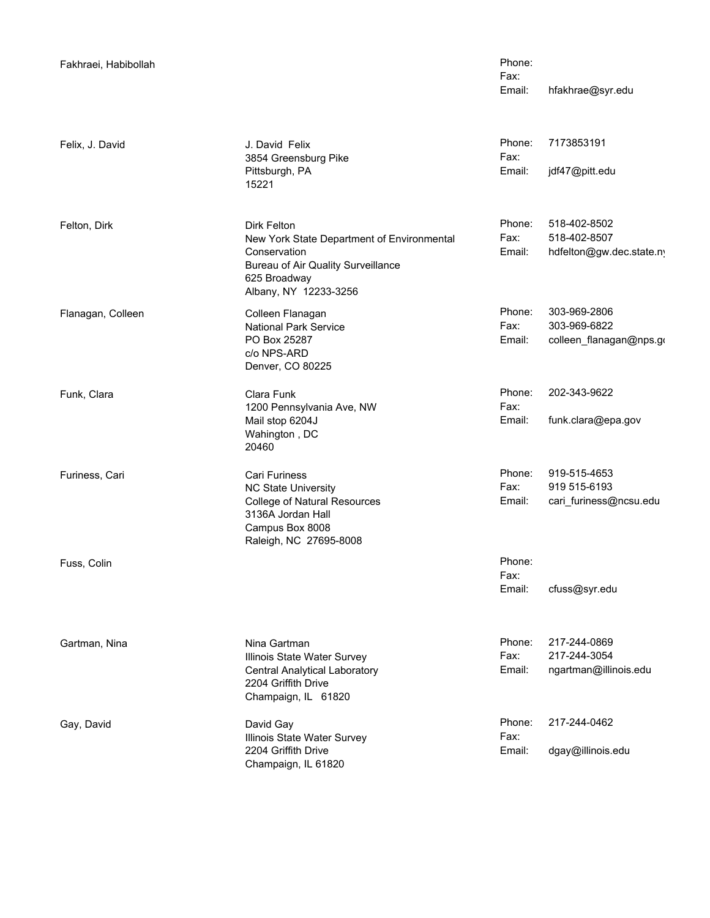| Fakhraei, Habibollah |                                                                                                                                                             | Phone:<br>Fax:<br>Email: | hfakhrae@syr.edu                                        |
|----------------------|-------------------------------------------------------------------------------------------------------------------------------------------------------------|--------------------------|---------------------------------------------------------|
| Felix, J. David      | J. David Felix<br>3854 Greensburg Pike<br>Pittsburgh, PA<br>15221                                                                                           | Phone:<br>Fax:<br>Email: | 7173853191<br>jdf47@pitt.edu                            |
| Felton, Dirk         | Dirk Felton<br>New York State Department of Environmental<br>Conservation<br>Bureau of Air Quality Surveillance<br>625 Broadway<br>Albany, NY 12233-3256    | Phone:<br>Fax:<br>Email: | 518-402-8502<br>518-402-8507<br>hdfelton@gw.dec.state.n |
| Flanagan, Colleen    | Colleen Flanagan<br><b>National Park Service</b><br>PO Box 25287<br>c/o NPS-ARD<br>Denver, CO 80225                                                         | Phone:<br>Fax:<br>Email: | 303-969-2806<br>303-969-6822<br>colleen_flanagan@nps.go |
| Funk, Clara          | Clara Funk<br>1200 Pennsylvania Ave, NW<br>Mail stop 6204J<br>Wahington, DC<br>20460                                                                        | Phone:<br>Fax:<br>Email: | 202-343-9622<br>funk.clara@epa.gov                      |
| Furiness, Cari       | <b>Cari Furiness</b><br><b>NC State University</b><br><b>College of Natural Resources</b><br>3136A Jordan Hall<br>Campus Box 8008<br>Raleigh, NC 27695-8008 | Phone:<br>Fax:<br>Email: | 919-515-4653<br>919 515-6193<br>cari_furiness@ncsu.edu  |
| Fuss, Colin          |                                                                                                                                                             | Phone:<br>Fax:<br>Email: | cfuss@syr.edu                                           |
| Gartman, Nina        | Nina Gartman<br>Illinois State Water Survey<br>Central Analytical Laboratory<br>2204 Griffith Drive<br>Champaign, IL 61820                                  | Phone:<br>Fax:<br>Email: | 217-244-0869<br>217-244-3054<br>ngartman@illinois.edu   |
| Gay, David           | David Gay<br>Illinois State Water Survey<br>2204 Griffith Drive<br>Champaign, IL 61820                                                                      | Phone:<br>Fax:<br>Email: | 217-244-0462<br>dgay@illinois.edu                       |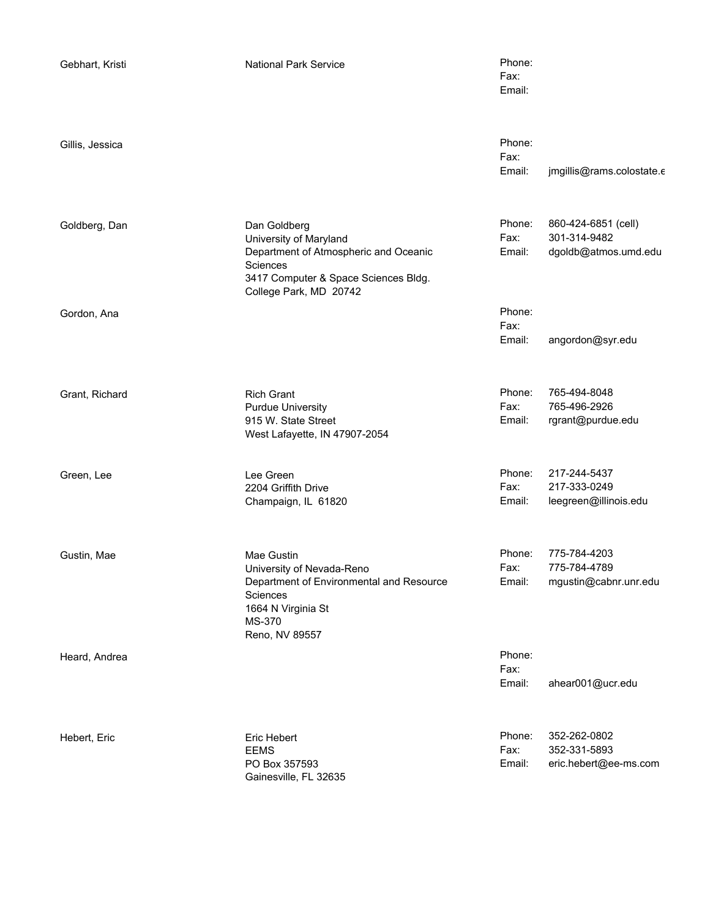| Gebhart, Kristi | <b>National Park Service</b>                                                                                                                                  | Phone:<br>Fax:<br>Email: |                                                             |
|-----------------|---------------------------------------------------------------------------------------------------------------------------------------------------------------|--------------------------|-------------------------------------------------------------|
| Gillis, Jessica |                                                                                                                                                               | Phone:<br>Fax:<br>Email: | jmgillis@rams.colostate.c                                   |
| Goldberg, Dan   | Dan Goldberg<br>University of Maryland<br>Department of Atmospheric and Oceanic<br>Sciences<br>3417 Computer & Space Sciences Bldg.<br>College Park, MD 20742 | Phone:<br>Fax:<br>Email: | 860-424-6851 (cell)<br>301-314-9482<br>dgoldb@atmos.umd.edu |
| Gordon, Ana     |                                                                                                                                                               | Phone:<br>Fax:<br>Email: | angordon@syr.edu                                            |
| Grant, Richard  | <b>Rich Grant</b><br><b>Purdue University</b><br>915 W. State Street<br>West Lafayette, IN 47907-2054                                                         | Phone:<br>Fax:<br>Email: | 765-494-8048<br>765-496-2926<br>rgrant@purdue.edu           |
| Green, Lee      | Lee Green<br>2204 Griffith Drive<br>Champaign, IL 61820                                                                                                       | Phone:<br>Fax:<br>Email: | 217-244-5437<br>217-333-0249<br>leegreen@illinois.edu       |
| Gustin, Mae     | Mae Gustin<br>University of Nevada-Reno<br>Department of Environmental and Resource<br>Sciences<br>1664 N Virginia St<br>MS-370<br>Reno, NV 89557             | Phone:<br>Fax:<br>Email: | 775-784-4203<br>775-784-4789<br>mgustin@cabnr.unr.edu       |
| Heard, Andrea   |                                                                                                                                                               | Phone:<br>Fax:<br>Email: | ahear001@ucr.edu                                            |
| Hebert, Eric    | Eric Hebert<br><b>EEMS</b><br>PO Box 357593<br>Gainesville, FL 32635                                                                                          | Phone:<br>Fax:<br>Email: | 352-262-0802<br>352-331-5893<br>eric.hebert@ee-ms.com       |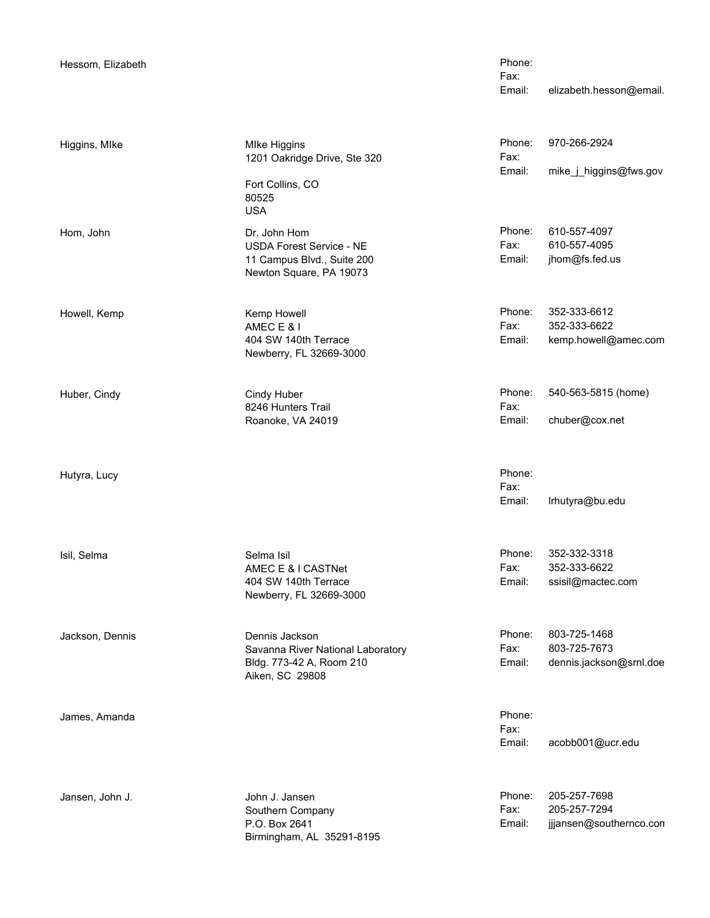Email: elizabeth.hesson@email. Phone: Fax:

| Phone: | 970-266-2924           |
|--------|------------------------|
| Fax:   |                        |
| Email: | mike j higgins@fws.gov |
|        |                        |

610-557-4097 Email: jhom@fs.fed.us Fax: 610-557-4095

352-333-6612 Email: kemp.howell@amec.com Fax: 352-333-6622

540-563-5815 (home) Email: chuber@cox.net Fax:

Email: lrhutyra@bu.edu Phone: Fax:

352-332-3318 Email: ssisil@mactec.com Selma Isil Phone:<br>AMEC E & LCASTNet Contract Contract Contract Contract Contract Contract Contract Contract Contract Contract Co Fax: 352-333-6622

803-725-1468 Email: dennis.jackson@srnl.doe Dennis Jackson **Phone:** Fax: 803-725-7673

> Email: acobb001@ucr.edu Phone: Fax:

205-257-7698 Email: jjjansen@southernco.con Fax: 205-257-7294

**MIke Higgins** 1201 Oakridge Drive, Ste 320 Fort Collins, CO 80525 USA Higgins, MIke Dr. John Hom **Phone:** USDA Forest Service - NE 11 Campus Blvd., Suite 200 Newton Square, PA 19073 Kemp Howell **Example 19** None: The Phone: Phone: Phone: Phone: Phone: Phone: Phone: Phone: Phone: Phone: Phone: Phone: Phone: Phone: Phone: Phone: Phone: Phone: Phone: Phone: Phone: Phone: Phone: Phone: Phone: Phone: Phone AMEC E & I 404 SW 140th Terrace Newberry, FL 32669-3000 Cindy Huber **Phone:** 8246 Hunters Trail Roanoke, VA 24019 Huber, Cindy AMEC E & I CASTNet 404 SW 140th Terrace Newberry, FL 32669-3000 Savanna River National Laboratory Bldg. 773-42 A, Room 210 Aiken, SC 29808

Jansen, John J.

John J. Jansen Phone: Executive Phone: Phone: Phone: Phone: Phone: Phone: Phone: Phone: Phone: Phone: Phone: P<br>Pax: Phone: Phone: Phone: Phone: Phone: Pax: Phone: Pax: Phone: Phone: Phone: Phone: Phone: Phone: Phone: Phone Southern Company P.O. Box 2641 Birmingham, AL 35291-8195

Isil, Selma

Jackson, Dennis

Howell, Kemp

Hutyra, Lucy

James, Amanda

Hom, John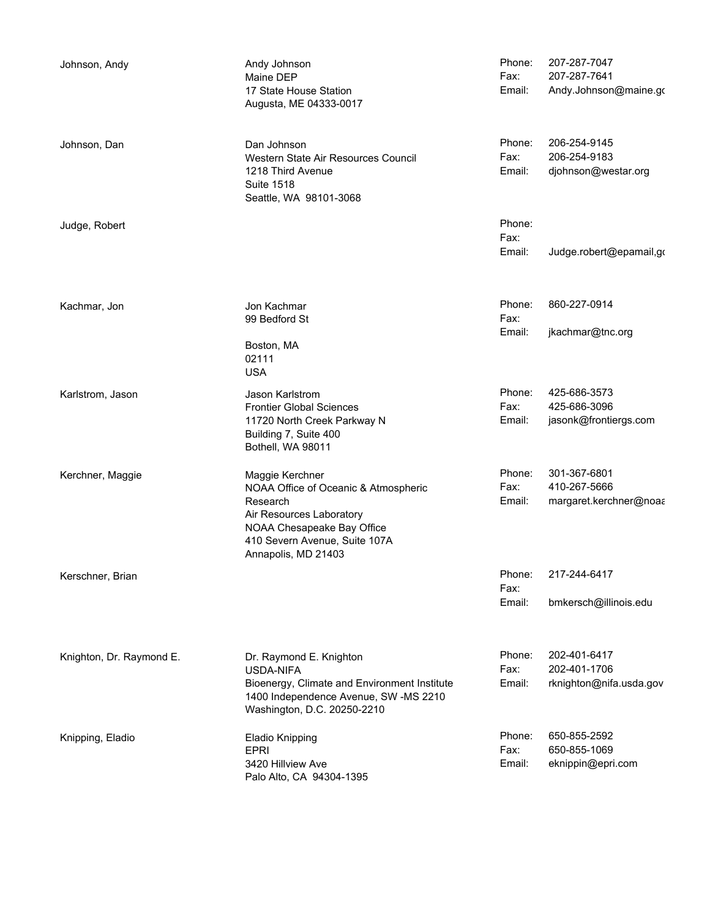| Johnson, Andy            | Andy Johnson<br>Maine DEP<br>17 State House Station<br>Augusta, ME 04333-0017                                                                                                         | Phone:<br>Fax:<br>Email: | 207-287-7047<br>207-287-7641<br>Andy.Johnson@maine.go   |
|--------------------------|---------------------------------------------------------------------------------------------------------------------------------------------------------------------------------------|--------------------------|---------------------------------------------------------|
| Johnson, Dan             | Dan Johnson<br>Western State Air Resources Council<br>1218 Third Avenue<br><b>Suite 1518</b><br>Seattle, WA 98101-3068                                                                | Phone:<br>Fax:<br>Email: | 206-254-9145<br>206-254-9183<br>djohnson@westar.org     |
| Judge, Robert            |                                                                                                                                                                                       | Phone:<br>Fax:<br>Email: | Judge.robert@epamail,go                                 |
| Kachmar, Jon             | Jon Kachmar<br>99 Bedford St<br>Boston, MA<br>02111<br><b>USA</b>                                                                                                                     | Phone:<br>Fax:<br>Email: | 860-227-0914<br>jkachmar@tnc.org                        |
| Karlstrom, Jason         | Jason Karlstrom<br><b>Frontier Global Sciences</b><br>11720 North Creek Parkway N<br>Building 7, Suite 400<br>Bothell, WA 98011                                                       | Phone:<br>Fax:<br>Email: | 425-686-3573<br>425-686-3096<br>jasonk@frontiergs.com   |
| Kerchner, Maggie         | Maggie Kerchner<br>NOAA Office of Oceanic & Atmospheric<br>Research<br>Air Resources Laboratory<br>NOAA Chesapeake Bay Office<br>410 Severn Avenue, Suite 107A<br>Annapolis, MD 21403 | Phone:<br>Fax:<br>Email: | 301-367-6801<br>410-267-5666<br>margaret.kerchner@noaa  |
| Kerschner, Brian         |                                                                                                                                                                                       | Phone:<br>Fax:<br>Email: | 217-244-6417<br>bmkersch@illinois.edu                   |
| Knighton, Dr. Raymond E. | Dr. Raymond E. Knighton<br><b>USDA-NIFA</b><br>Bioenergy, Climate and Environment Institute<br>1400 Independence Avenue, SW-MS 2210<br>Washington, D.C. 20250-2210                    | Phone:<br>Fax:<br>Email: | 202-401-6417<br>202-401-1706<br>rknighton@nifa.usda.gov |
| Knipping, Eladio         | <b>Eladio Knipping</b><br><b>EPRI</b><br>3420 Hillview Ave<br>Palo Alto, CA 94304-1395                                                                                                | Phone:<br>Fax:<br>Email: | 650-855-2592<br>650-855-1069<br>eknippin@epri.com       |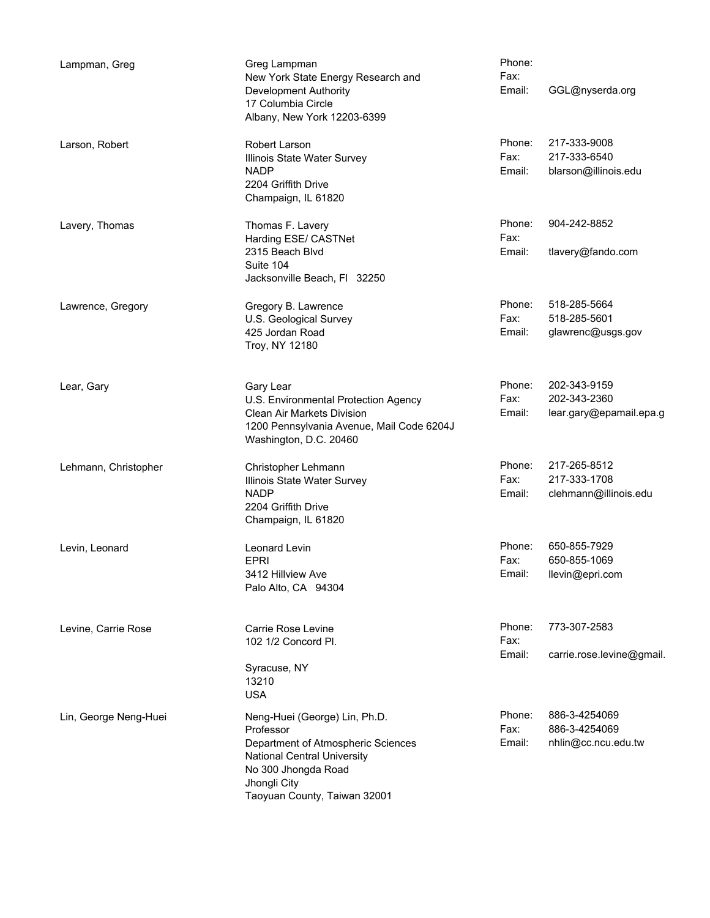| Lampman, Greg         | Greg Lampman<br>New York State Energy Research and<br><b>Development Authority</b><br>17 Columbia Circle<br>Albany, New York 12203-6399                                                | Phone:<br>Fax:<br>Email: | GGL@nyserda.org                                         |
|-----------------------|----------------------------------------------------------------------------------------------------------------------------------------------------------------------------------------|--------------------------|---------------------------------------------------------|
| Larson, Robert        | Robert Larson<br>Illinois State Water Survey<br><b>NADP</b><br>2204 Griffith Drive<br>Champaign, IL 61820                                                                              | Phone:<br>Fax:<br>Email: | 217-333-9008<br>217-333-6540<br>blarson@illinois.edu    |
| Lavery, Thomas        | Thomas F. Lavery<br>Harding ESE/ CASTNet<br>2315 Beach Blvd<br>Suite 104<br>Jacksonville Beach, Fl 32250                                                                               | Phone:<br>Fax:<br>Email: | 904-242-8852<br>tlavery@fando.com                       |
| Lawrence, Gregory     | Gregory B. Lawrence<br>U.S. Geological Survey<br>425 Jordan Road<br>Troy, NY 12180                                                                                                     | Phone:<br>Fax:<br>Email: | 518-285-5664<br>518-285-5601<br>glawrenc@usgs.gov       |
| Lear, Gary            | Gary Lear<br>U.S. Environmental Protection Agency<br><b>Clean Air Markets Division</b><br>1200 Pennsylvania Avenue, Mail Code 6204J<br>Washington, D.C. 20460                          | Phone:<br>Fax:<br>Email: | 202-343-9159<br>202-343-2360<br>lear.gary@epamail.epa.g |
| Lehmann, Christopher  | Christopher Lehmann<br>Illinois State Water Survey<br><b>NADP</b><br>2204 Griffith Drive<br>Champaign, IL 61820                                                                        | Phone:<br>Fax:<br>Email: | 217-265-8512<br>217-333-1708<br>clehmann@illinois.edu   |
| Levin, Leonard        | Leonard Levin<br>EPRI<br>3412 Hillview Ave<br>Palo Alto, CA 94304                                                                                                                      | Phone:<br>Fax:           | 650-855-7929<br>650-855-1069<br>Email: Ilevin@epri.com  |
| Levine, Carrie Rose   | Carrie Rose Levine<br>102 1/2 Concord Pl.<br>Syracuse, NY<br>13210<br><b>USA</b>                                                                                                       | Phone:<br>Fax:<br>Email: | 773-307-2583<br>carrie.rose.levine@gmail                |
| Lin, George Neng-Huei | Neng-Huei (George) Lin, Ph.D.<br>Professor<br>Department of Atmospheric Sciences<br>National Central University<br>No 300 Jhongda Road<br>Jhongli City<br>Taoyuan County, Taiwan 32001 | Phone:<br>Fax:<br>Email: | 886-3-4254069<br>886-3-4254069<br>nhlin@cc.ncu.edu.tw   |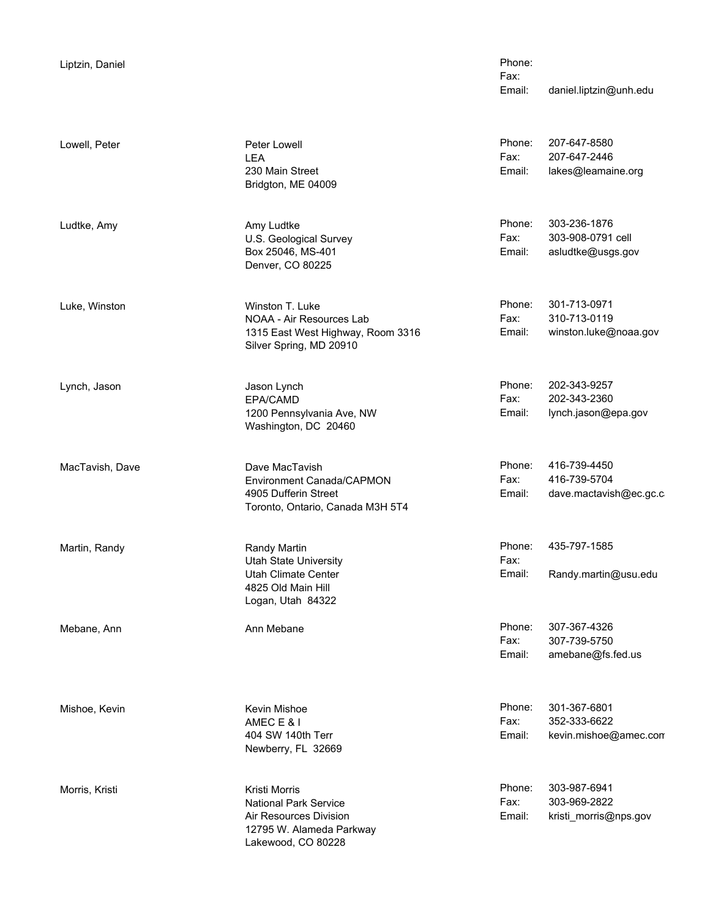|  | Liptzin, Daniel |  |
|--|-----------------|--|
|  |                 |  |

Lowell, Peter

Ludtke, Amy

Luke, Winston

Lynch, Jason

MacTavish, Dave

Martin, Randy

Mebane, Ann

Mishoe, Kevin

Morris, Kristi

Peter Lowell **Phone:** LEA 230 Main Street Bridgton, ME 04009

Amy Ludtke **Phone:** U.S. Geological Survey Box 25046, MS-401 Denver, CO 80225

Winston T. Luke Phone: NOAA - Air Resources Lab 1315 East West Highway, Room 3316 Silver Spring, MD 20910

Jason Lynch Phone: EPA/CAMD<br>EPA/CAMD EPA/CAMD 1200 Pennsylvania Ave, NW Washington, DC 20460

Dave MacTavish **Phone:** Environment Canada/CAPMON 4905 Dufferin Street Toronto, Ontario, Canada M3H 5T4

Randy Martin **Phone:** Utah State University Utah Climate Center 4825 Old Main Hill Logan, Utah 84322

Kevin Mishoe **Phone:**<br>AMFC F & I AMEC E & I 404 SW 140th Terr Newberry, FL 32669

Kristi Morris **Access 19 No. 1999** Phone: National Park Service Air Resources Division 12795 W. Alameda Parkway Lakewood, CO 80228

Email: daniel.liptzin@unh.edu Phone: Fax:

207-647-8580 Email: lakes@leamaine.org Fax: 207-647-2446

303-236-1876 Email: asludtke@usgs.gov Fax: 303-908-0791 cell

301-713-0971 Email: winston.luke@noaa.gov Fax: 310-713-0119

202-343-9257 Email: lynch.jason@epa.gov Fax: 202-343-2360

416-739-4450 Email: dave.mactavish@ec.gc.ca Fax: 416-739-5704

435-797-1585 Email: Randy.martin@usu.edu Fax:

307-367-4326 Email: amebane@fs.fed.us Ann Mebane Phone: East Phone: Phone: Phone: Phone: Phone: Phone: Phone: Phone: Phone: Phone: Phone: Phone: Phone: Phone: Phone: Phone: Phone: Phone: Phone: Phone: Phone: Phone: Phone: Phone: Phone: Phone: Phone: Phone: Pho 307-739-5750

> 301-367-6801 Email: kevin.mishoe@amec.com Fax: 352-333-6622

303-987-6941 Email: kristi\_morris@nps.gov Fax: 303-969-2822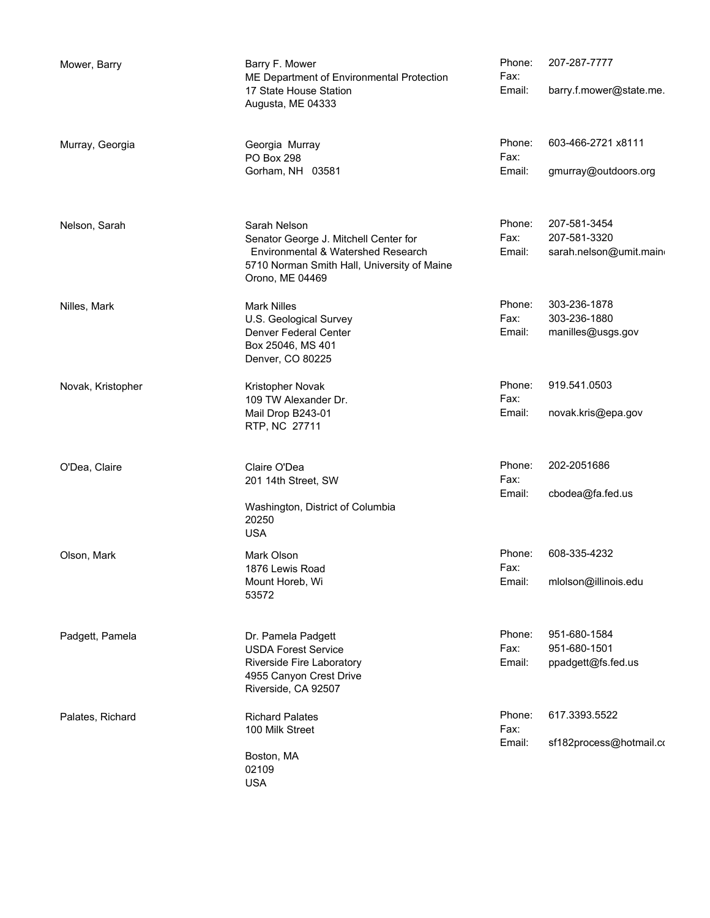| Mower, Barry      | Barry F. Mower<br>ME Department of Environmental Protection<br>17 State House Station<br>Augusta, ME 04333                                                    | Phone:<br>Fax:<br>Email: | 207-287-7777<br>barry.f.mower@state.me.                |
|-------------------|---------------------------------------------------------------------------------------------------------------------------------------------------------------|--------------------------|--------------------------------------------------------|
| Murray, Georgia   | Georgia Murray<br>PO Box 298<br>Gorham, NH 03581                                                                                                              | Phone:<br>Fax:<br>Email: | 603-466-2721 x8111<br>gmurray@outdoors.org             |
| Nelson, Sarah     | Sarah Nelson<br>Senator George J. Mitchell Center for<br>Environmental & Watershed Research<br>5710 Norman Smith Hall, University of Maine<br>Orono, ME 04469 | Phone:<br>Fax:<br>Email: | 207-581-3454<br>207-581-3320<br>sarah.nelson@umit.main |
| Nilles, Mark      | <b>Mark Nilles</b><br>U.S. Geological Survey<br>Denver Federal Center<br>Box 25046, MS 401<br>Denver, CO 80225                                                | Phone:<br>Fax:<br>Email: | 303-236-1878<br>303-236-1880<br>manilles@usgs.gov      |
| Novak, Kristopher | Kristopher Novak<br>109 TW Alexander Dr.<br>Mail Drop B243-01<br>RTP, NC 27711                                                                                | Phone:<br>Fax:<br>Email: | 919.541.0503<br>novak.kris@epa.gov                     |
| O'Dea, Claire     | Claire O'Dea<br>201 14th Street, SW<br>Washington, District of Columbia<br>20250<br><b>USA</b>                                                                | Phone:<br>Fax:<br>Email: | 202-2051686<br>cbodea@fa.fed.us                        |
| Olson, Mark       | Mark Olson<br>1876 Lewis Road<br>Mount Horeb, Wi<br>53572                                                                                                     | Phone:<br>Fax:<br>Email: | 608-335-4232<br>mlolson@illinois.edu                   |
| Padgett, Pamela   | Dr. Pamela Padgett<br><b>USDA Forest Service</b><br>Riverside Fire Laboratory<br>4955 Canyon Crest Drive<br>Riverside, CA 92507                               | Phone:<br>Fax:<br>Email: | 951-680-1584<br>951-680-1501<br>ppadgett@fs.fed.us     |
| Palates, Richard  | <b>Richard Palates</b><br>100 Milk Street<br>Boston, MA<br>02109<br><b>USA</b>                                                                                | Phone:<br>Fax:<br>Email: | 617.3393.5522<br>sf182process@hotmail.co               |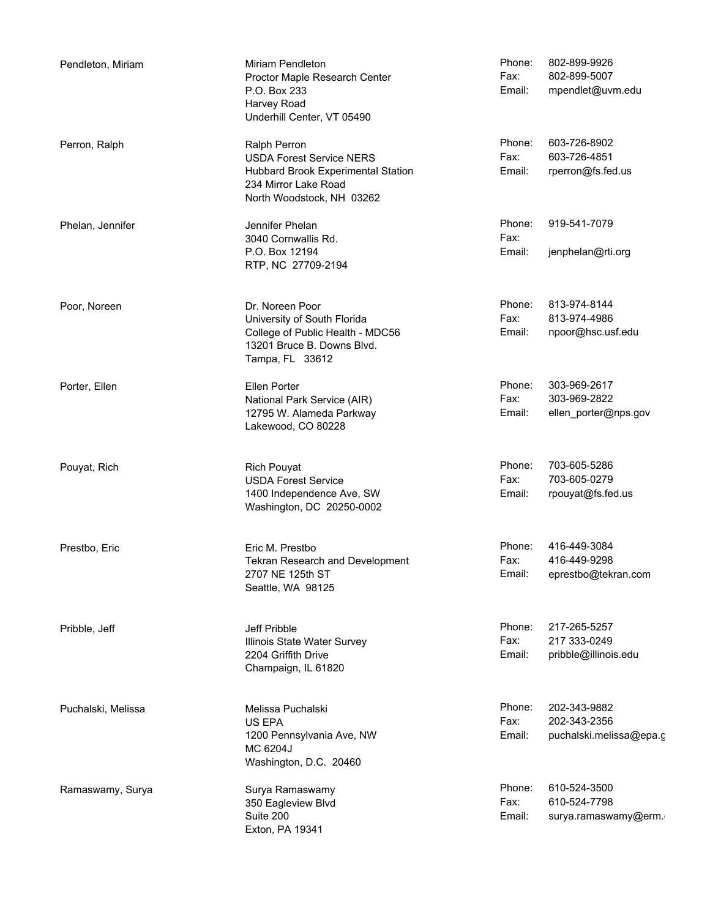802-899-9926 Email: mpendlet@uvm.edu Miriam Pendleton **Phone:** Proctor Maple Research Center P.O. Box 233 Harvey Road Underhill Center, VT 05490 Fax: 802-899-5007 Pendleton, Miriam 603-726-8902 Email: rperron@fs.fed.us Ralph Perron **Phone:** USDA Forest Service NERS Hubbard Brook Experimental Station 234 Mirror Lake Road North Woodstock, NH 03262 Fax: 603-726-4851 Perron, Ralph 919-541-7079 Email: jenphelan@rti.org Jennifer Phelan **Phone:** 3040 Cornwallis Rd. P.O. Box 12194 RTP, NC 27709-2194 Fax: Phelan, Jennifer 813-974-8144 Email: npoor@hsc.usf.edu Dr. Noreen Poor Phone: University of South Florida College of Public Health - MDC56 13201 Bruce B. Downs Blvd. Tampa, FL 33612 Fax: 813-974-4986 Poor, Noreen 303-969-2617 Email: ellen\_porter@nps.gov Ellen Porter **Phone:** National Park Service (AIR) 12795 W. Alameda Parkway Lakewood, CO 80228 Fax: 303-969-2822 Porter, Ellen 703-605-5286 Email: rpouyat@fs.fed.us Rich Pouyat **Phone:** USDA Forest Service 1400 Independence Ave, SW Washington, DC 20250-0002 Fax: 703-605-0279 Pouyat, Rich 416-449-3084 Email: eprestbo@tekran.com Eric M. Prestbo Phone: Tekran Research and Development 2707 NE 125th ST Seattle, WA 98125 Fax: 416-449-9298 Prestbo, Eric 217-265-5257 Email: pribble@illinois.edu Jeff Pribble **Phone:** Illinois State Water Survey 2204 Griffith Drive Champaign, IL 61820 Fax: 217 333-0249 Pribble, Jeff 202-343-9882 Email: puchalski.melissa@epa.g Melissa Puchalski eta alian eta alian eta alian eta alian eta alian eta alian eta alian eta alian eta alian et<br>Periodiko eta alian eta alian eta alian eta eta alian eta eta alian eta alian eta alian eta alian eta alian et US EPA 1200 Pennsylvania Ave, NW MC 6204J Washington, D.C. 20460 Fax: 202-343-2356 Puchalski, Melissa 610-524-3500 Email: surya.ramaswamy@erm. Surya Ramaswamy **Phone:** 350 Eagleview Blvd Suite 200 Exton, PA 19341 Fax: 610-524-7798 Ramaswamy, Surya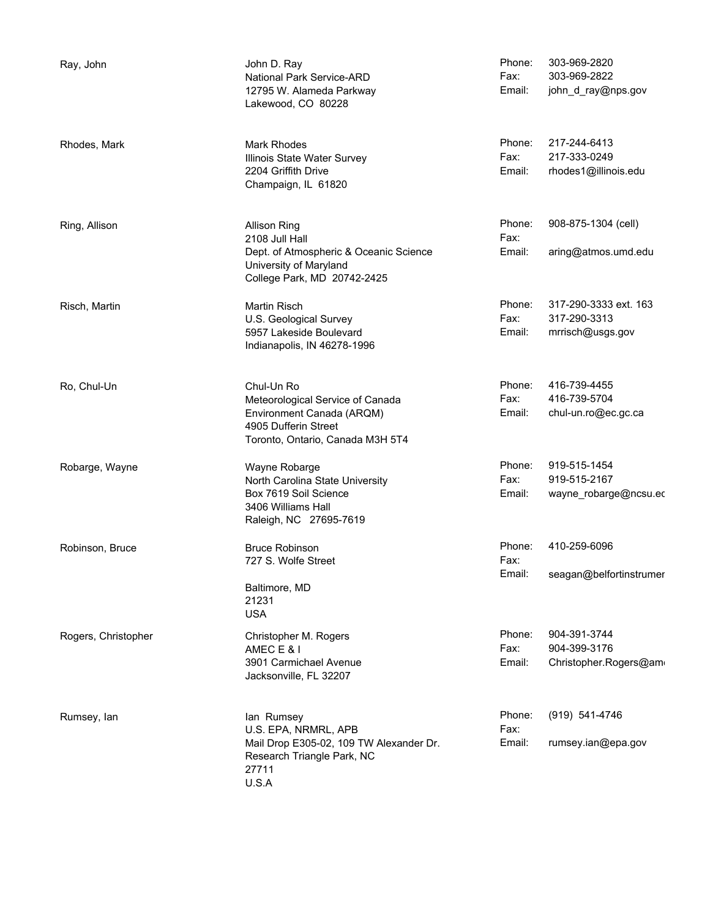| Ray, John           | John D. Ray<br>National Park Service-ARD<br>12795 W. Alameda Parkway<br>Lakewood, CO 80228                                               | Phone:<br>Fax:<br>Email: | 303-969-2820<br>303-969-2822<br>john_d_ray@nps.gov        |
|---------------------|------------------------------------------------------------------------------------------------------------------------------------------|--------------------------|-----------------------------------------------------------|
| Rhodes, Mark        | <b>Mark Rhodes</b><br>Illinois State Water Survey<br>2204 Griffith Drive<br>Champaign, IL 61820                                          | Phone:<br>Fax:<br>Email: | 217-244-6413<br>217-333-0249<br>rhodes1@illinois.edu      |
| Ring, Allison       | <b>Allison Ring</b><br>2108 Jull Hall<br>Dept. of Atmospheric & Oceanic Science<br>University of Maryland<br>College Park, MD 20742-2425 | Phone:<br>Fax:<br>Email: | 908-875-1304 (cell)<br>aring@atmos.umd.edu                |
| Risch, Martin       | Martin Risch<br>U.S. Geological Survey<br>5957 Lakeside Boulevard<br>Indianapolis, IN 46278-1996                                         | Phone:<br>Fax:<br>Email: | 317-290-3333 ext. 163<br>317-290-3313<br>mrrisch@usgs.gov |
| Ro, Chul-Un         | Chul-Un Ro<br>Meteorological Service of Canada<br>Environment Canada (ARQM)<br>4905 Dufferin Street<br>Toronto, Ontario, Canada M3H 5T4  | Phone:<br>Fax:<br>Email: | 416-739-4455<br>416-739-5704<br>chul-un.ro@ec.gc.ca       |
| Robarge, Wayne      | Wayne Robarge<br>North Carolina State University<br>Box 7619 Soil Science<br>3406 Williams Hall<br>Raleigh, NC 27695-7619                | Phone:<br>Fax:<br>Email: | 919-515-1454<br>919-515-2167<br>wayne_robarge@ncsu.ed     |
| Robinson, Bruce     | <b>Bruce Robinson</b><br>727 S. Wolfe Street<br>Baltimore, MD<br>21231<br><b>USA</b>                                                     | Phone:<br>Fax:<br>Email: | 410-259-6096<br>seagan@belfortinstrumer                   |
| Rogers, Christopher | Christopher M. Rogers<br>AMEC E & I<br>3901 Carmichael Avenue<br>Jacksonville, FL 32207                                                  | Phone:<br>Fax:<br>Email: | 904-391-3744<br>904-399-3176<br>Christopher.Rogers@am     |
| Rumsey, lan         | lan Rumsey<br>U.S. EPA, NRMRL, APB<br>Mail Drop E305-02, 109 TW Alexander Dr.<br>Research Triangle Park, NC<br>27711<br>U.S.A            | Phone:<br>Fax:<br>Email: | (919) 541-4746<br>rumsey.ian@epa.gov                      |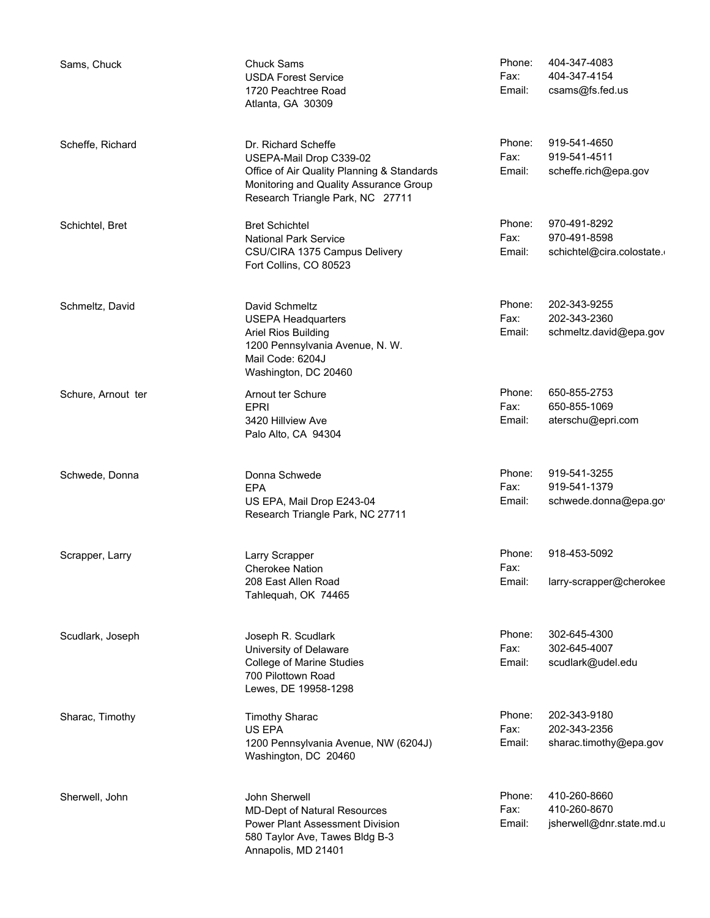| Sams, Chuck        | <b>Chuck Sams</b><br><b>USDA Forest Service</b><br>1720 Peachtree Road<br>Atlanta, GA 30309                                                                                | Phone:<br>Fax:<br>Email: | 404-347-4083<br>404-347-4154<br>csams@fs.fed.us           |
|--------------------|----------------------------------------------------------------------------------------------------------------------------------------------------------------------------|--------------------------|-----------------------------------------------------------|
| Scheffe, Richard   | Dr. Richard Scheffe<br>USEPA-Mail Drop C339-02<br>Office of Air Quality Planning & Standards<br>Monitoring and Quality Assurance Group<br>Research Triangle Park, NC 27711 | Phone:<br>Fax:<br>Email: | 919-541-4650<br>919-541-4511<br>scheffe.rich@epa.gov      |
| Schichtel, Bret    | <b>Bret Schichtel</b><br><b>National Park Service</b><br>CSU/CIRA 1375 Campus Delivery<br>Fort Collins, CO 80523                                                           | Phone:<br>Fax:<br>Email: | 970-491-8292<br>970-491-8598<br>schichtel@cira.colostate. |
| Schmeltz, David    | David Schmeltz<br><b>USEPA Headquarters</b><br>Ariel Rios Building<br>1200 Pennsylvania Avenue, N. W.<br>Mail Code: 6204J<br>Washington, DC 20460                          | Phone:<br>Fax:<br>Email: | 202-343-9255<br>202-343-2360<br>schmeltz.david@epa.gov    |
| Schure, Arnout ter | Arnout ter Schure<br><b>EPRI</b><br>3420 Hillview Ave<br>Palo Alto, CA 94304                                                                                               | Phone:<br>Fax:<br>Email: | 650-855-2753<br>650-855-1069<br>aterschu@epri.com         |
| Schwede, Donna     | Donna Schwede<br><b>EPA</b><br>US EPA, Mail Drop E243-04<br>Research Triangle Park, NC 27711                                                                               | Phone:<br>Fax:<br>Email: | 919-541-3255<br>919-541-1379<br>schwede.donna@epa.go      |
| Scrapper, Larry    | Larry Scrapper<br>Cherokee Nation<br>208 East Allen Road<br>Tahlequah, OK 74465                                                                                            | Phone:<br>Fax:<br>Email: | 918-453-5092<br>larry-scrapper@cherokee                   |
| Scudlark, Joseph   | Joseph R. Scudlark<br>University of Delaware<br><b>College of Marine Studies</b><br>700 Pilottown Road<br>Lewes, DE 19958-1298                                             | Phone:<br>Fax:<br>Email: | 302-645-4300<br>302-645-4007<br>scudlark@udel.edu         |
| Sharac, Timothy    | <b>Timothy Sharac</b><br>US EPA<br>1200 Pennsylvania Avenue, NW (6204J)<br>Washington, DC 20460                                                                            | Phone:<br>Fax:<br>Email: | 202-343-9180<br>202-343-2356<br>sharac.timothy@epa.gov    |
| Sherwell, John     | John Sherwell<br><b>MD-Dept of Natural Resources</b><br><b>Power Plant Assessment Division</b><br>580 Taylor Ave, Tawes Bldg B-3<br>Annapolis, MD 21401                    | Phone:<br>Fax:<br>Email: | 410-260-8660<br>410-260-8670<br>jsherwell@dnr.state.md.u  |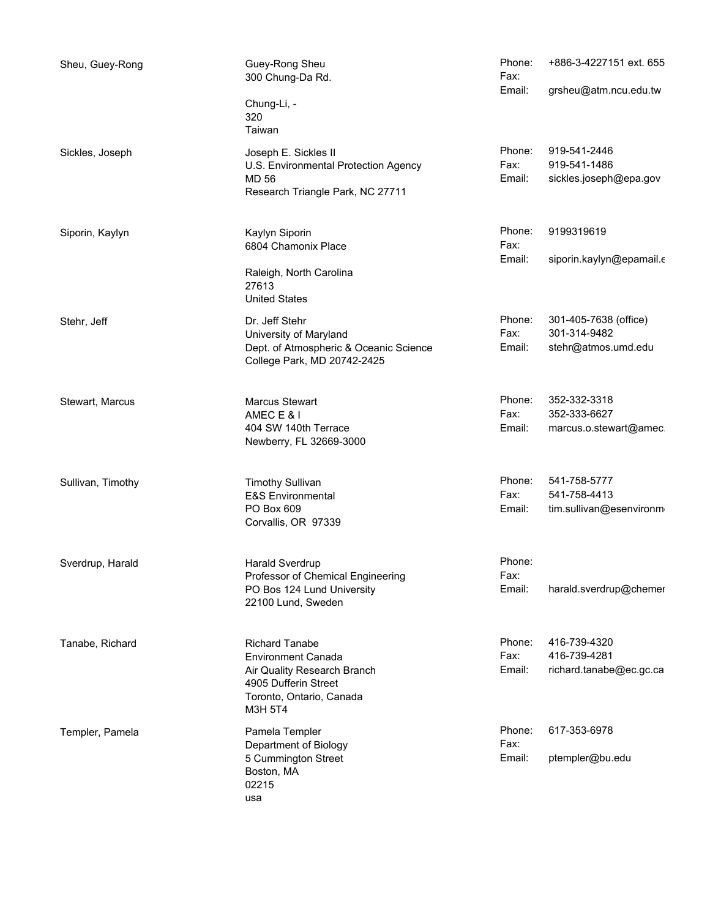| Sheu, Guey-Rong   | Guey-Rong Sheu<br>300 Chung-Da Rd.<br>Chung-Li, -<br>320<br>Taiwan                                                                               | Phone:<br>Fax:<br>Email: | +886-3-4227151 ext. 655<br>grsheu@atm.ncu.edu.tw             |
|-------------------|--------------------------------------------------------------------------------------------------------------------------------------------------|--------------------------|--------------------------------------------------------------|
| Sickles, Joseph   | Joseph E. Sickles II<br>U.S. Environmental Protection Agency<br><b>MD 56</b><br>Research Triangle Park, NC 27711                                 | Phone:<br>Fax:<br>Email: | 919-541-2446<br>919-541-1486<br>sickles.joseph@epa.gov       |
| Siporin, Kaylyn   | Kaylyn Siporin<br>6804 Chamonix Place<br>Raleigh, North Carolina<br>27613<br><b>United States</b>                                                | Phone:<br>Fax:<br>Email: | 9199319619<br>siporin.kaylyn@epamail.c                       |
| Stehr, Jeff       | Dr. Jeff Stehr<br>University of Maryland<br>Dept. of Atmospheric & Oceanic Science<br>College Park, MD 20742-2425                                | Phone:<br>Fax:<br>Email: | 301-405-7638 (office)<br>301-314-9482<br>stehr@atmos.umd.edu |
| Stewart, Marcus   | Marcus Stewart<br>AMEC E & I<br>404 SW 140th Terrace<br>Newberry, FL 32669-3000                                                                  | Phone:<br>Fax:<br>Email: | 352-332-3318<br>352-333-6627<br>marcus.o.stewart@amec        |
| Sullivan, Timothy | <b>Timothy Sullivan</b><br>E&S Environmental<br>PO Box 609<br>Corvallis, OR 97339                                                                | Phone:<br>Fax:<br>Email: | 541-758-5777<br>541-758-4413<br>tim.sullivan@esenvironm      |
| Sverdrup, Harald  | Harald Sverdrup<br>Professor of Chemical Engineering<br>PO Bos 124 Lund University<br>22100 Lund, Sweden                                         | Phone:<br>Fax:<br>Email: | harald.sverdrup@chemer                                       |
| Tanabe, Richard   | <b>Richard Tanabe</b><br><b>Environment Canada</b><br>Air Quality Research Branch<br>4905 Dufferin Street<br>Toronto, Ontario, Canada<br>M3H 5T4 | Phone:<br>Fax:<br>Email: | 416-739-4320<br>416-739-4281<br>richard.tanabe@ec.gc.ca      |
| Templer, Pamela   | Pamela Templer<br>Department of Biology<br>5 Cummington Street<br>Boston, MA<br>02215<br>usa                                                     | Phone:<br>Fax:<br>Email: | 617-353-6978<br>ptempler@bu.edu                              |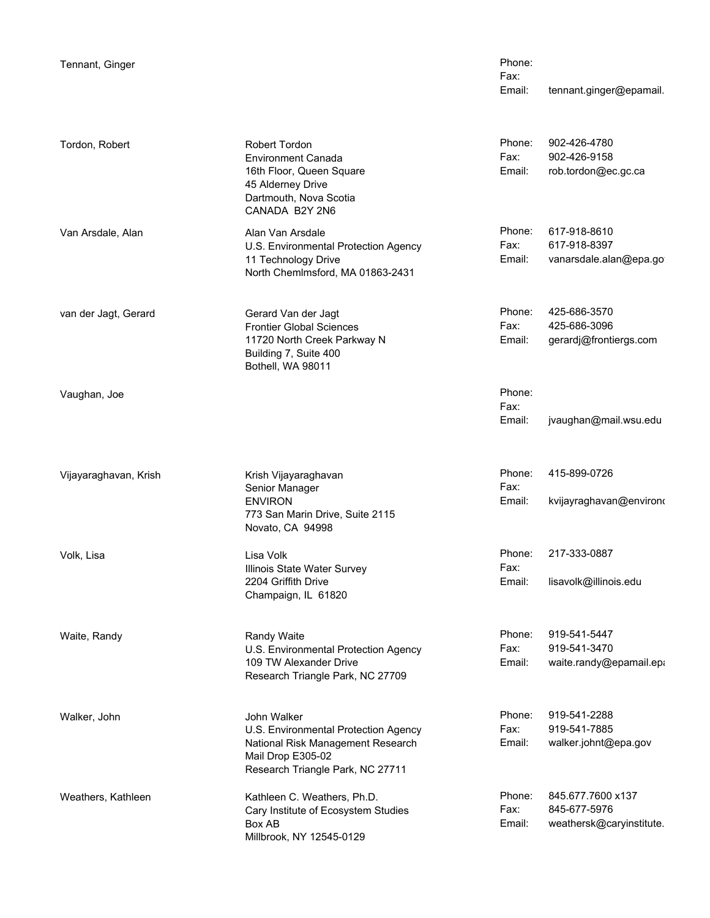Tennant, Ginger

Email: tennant.ginger@epamail. Phone: Fax:

| Tordon, Robert        | Robert Tordon<br><b>Environment Canada</b><br>16th Floor, Queen Square<br>45 Alderney Drive<br>Dartmouth, Nova Scotia<br>CANADA B2Y 2N6           | Phone:<br>Fax:<br>Email: | 902-426-4780<br>902-426-9158<br>rob.tordon@ec.gc.ca           |
|-----------------------|---------------------------------------------------------------------------------------------------------------------------------------------------|--------------------------|---------------------------------------------------------------|
| Van Arsdale, Alan     | Alan Van Arsdale<br>U.S. Environmental Protection Agency<br>11 Technology Drive<br>North Chemlmsford, MA 01863-2431                               | Phone:<br>Fax:<br>Email: | 617-918-8610<br>617-918-8397<br>vanarsdale.alan@epa.go        |
| van der Jagt, Gerard  | Gerard Van der Jagt<br><b>Frontier Global Sciences</b><br>11720 North Creek Parkway N<br>Building 7, Suite 400<br>Bothell, WA 98011               | Phone:<br>Fax:<br>Email: | 425-686-3570<br>425-686-3096<br>gerardj@frontiergs.com        |
| Vaughan, Joe          |                                                                                                                                                   | Phone:<br>Fax:<br>Email: | jvaughan@mail.wsu.edu                                         |
| Vijayaraghavan, Krish | Krish Vijayaraghavan<br>Senior Manager<br><b>ENVIRON</b><br>773 San Marin Drive, Suite 2115<br>Novato, CA 94998                                   | Phone:<br>Fax:<br>Email: | 415-899-0726<br>kvijayraghavan@environo                       |
| Volk, Lisa            | Lisa Volk<br>Illinois State Water Survey<br>2204 Griffith Drive<br>Champaign, IL 61820                                                            | Phone:<br>Fax:<br>Email: | 217-333-0887<br>lisavolk@illinois.edu                         |
| Waite, Randy          | Randy Waite<br>U.S. Environmental Protection Agency<br>109 TW Alexander Drive<br>Research Triangle Park, NC 27709                                 | Phone:<br>Fax:<br>Email: | 919-541-5447<br>919-541-3470<br>waite.randy@epamail.epa       |
| Walker, John          | John Walker<br>U.S. Environmental Protection Agency<br>National Risk Management Research<br>Mail Drop E305-02<br>Research Triangle Park, NC 27711 | Phone:<br>Fax:<br>Email: | 919-541-2288<br>919-541-7885<br>walker.johnt@epa.gov          |
| Weathers, Kathleen    | Kathleen C. Weathers, Ph.D.<br>Cary Institute of Ecosystem Studies<br>Box AB<br>Millbrook, NY 12545-0129                                          | Phone:<br>Fax:<br>Email: | 845.677.7600 x137<br>845-677-5976<br>weathersk@caryinstitute. |